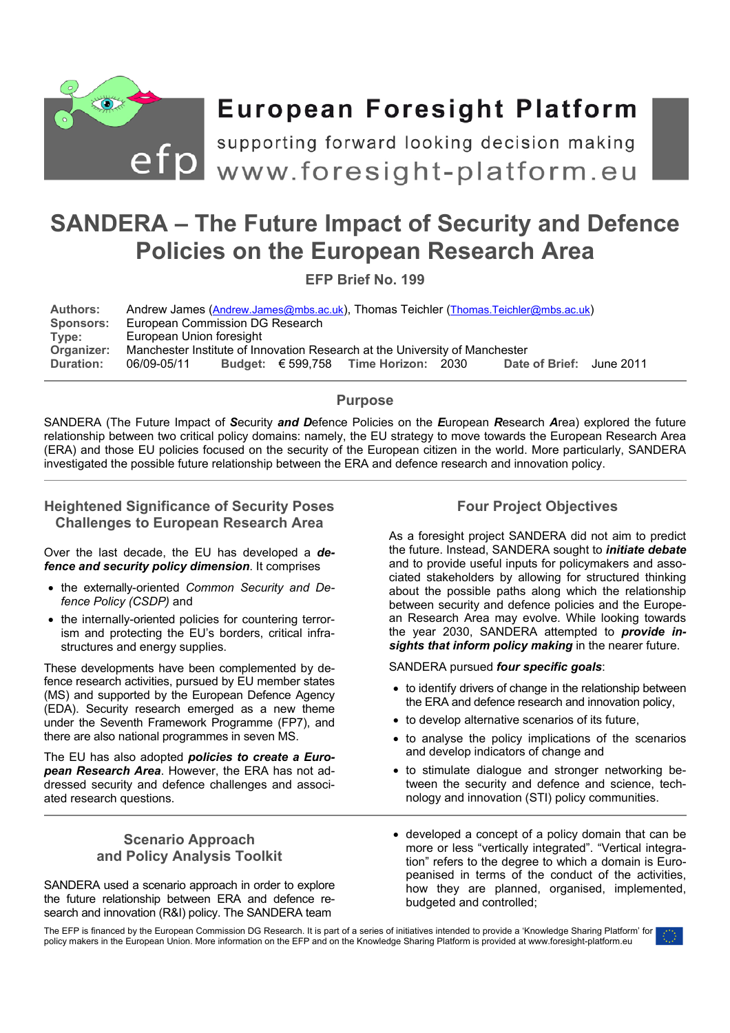

# **European Foresight Platform**

efp supporting forward looking decision making<br>
www.foresight-platform.eu

## **SANDERA – The Future Impact of Security and Defence Policies on the European Research Area**

**EFP Brief No. 199** 

| <b>Authors:</b>  | Andrew James (Andrew.James@mbs.ac.uk), Thomas Teichler (Thomas.Teichler@mbs.ac.uk) |  |  |                                               |  |                          |  |
|------------------|------------------------------------------------------------------------------------|--|--|-----------------------------------------------|--|--------------------------|--|
| <b>Sponsors:</b> | European Commission DG Research                                                    |  |  |                                               |  |                          |  |
| Type:            | European Union foresight                                                           |  |  |                                               |  |                          |  |
| Organizer:       | Manchester Institute of Innovation Research at the University of Manchester        |  |  |                                               |  |                          |  |
| <b>Duration:</b> | 06/09-05/11                                                                        |  |  | Budget: $\epsilon$ 599,758 Time Horizon: 2030 |  | Date of Brief: June 2011 |  |

## **Purpose**

SANDERA (The Future Impact of *S*ecurity *and D*efence Policies on the *E*uropean *R*esearch *A*rea) explored the future relationship between two critical policy domains: namely, the EU strategy to move towards the European Research Area (ERA) and those EU policies focused on the security of the European citizen in the world. More particularly, SANDERA investigated the possible future relationship between the ERA and defence research and innovation policy.

## **Heightened Significance of Security Poses Challenges to European Research Area**

Over the last decade, the EU has developed a *defence and security policy dimension*. It comprises

- the externally-oriented *Common Security and Defence Policy (CSDP)* and
- the internally-oriented policies for countering terrorism and protecting the EU's borders, critical infrastructures and energy supplies.

These developments have been complemented by defence research activities, pursued by EU member states (MS) and supported by the European Defence Agency (EDA). Security research emerged as a new theme under the Seventh Framework Programme (FP7), and there are also national programmes in seven MS.

The EU has also adopted *policies to create a European Research Area*. However, the ERA has not addressed security and defence challenges and associated research questions.

## **Scenario Approach and Policy Analysis Toolkit**

SANDERA used a scenario approach in order to explore the future relationship between ERA and defence research and innovation (R&I) policy. The SANDERA team

## **Four Project Objectives**

As a foresight project SANDERA did not aim to predict the future. Instead, SANDERA sought to *initiate debate* and to provide useful inputs for policymakers and associated stakeholders by allowing for structured thinking about the possible paths along which the relationship between security and defence policies and the European Research Area may evolve. While looking towards the year 2030, SANDERA attempted to *provide insights that inform policy making* in the nearer future.

SANDERA pursued *four specific goals*:

- to identify drivers of change in the relationship between the ERA and defence research and innovation policy,
- to develop alternative scenarios of its future,
- to analyse the policy implications of the scenarios and develop indicators of change and
- to stimulate dialogue and stronger networking between the security and defence and science, technology and innovation (STI) policy communities.
- developed a concept of a policy domain that can be more or less "vertically integrated". "Vertical integration" refers to the degree to which a domain is Europeanised in terms of the conduct of the activities, how they are planned, organised, implemented, budgeted and controlled;

The EFP is financed by the European Commission DG Research. It is part of a series of initiatives intended to provide a 'Knowledge Sharing Platform' for policy makers in the European Union. More information on the EFP and on the Knowledge Sharing Platform is provided at www.foresight-platform.eu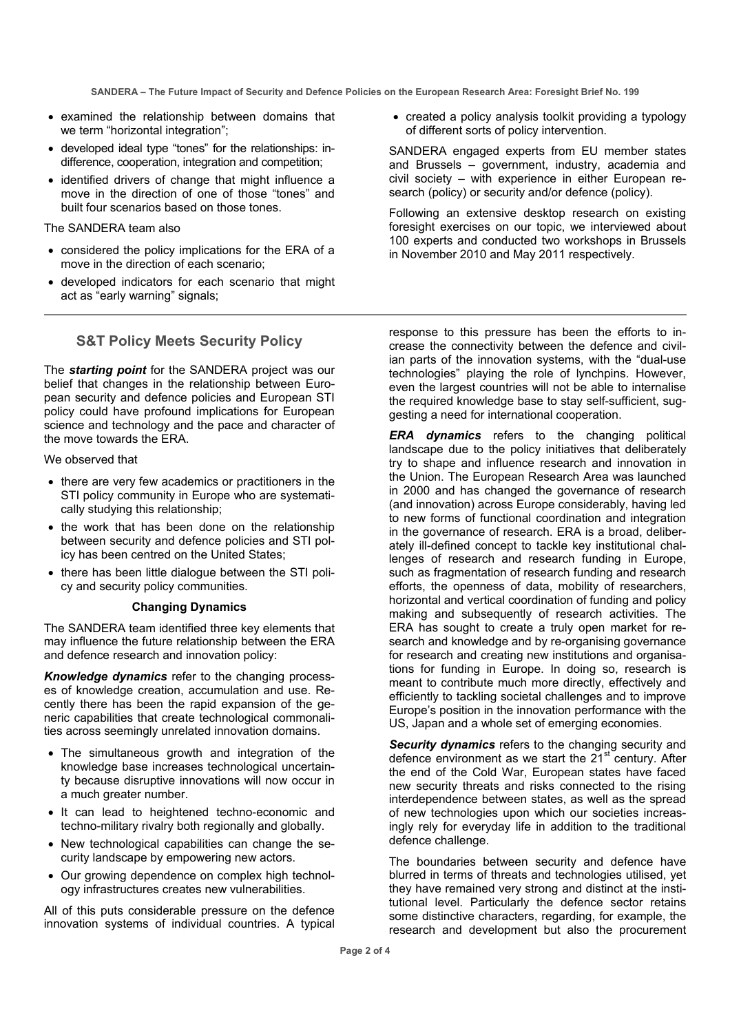**SANDERA – The Future Impact of Security and Defence Policies on the European Research Area: Foresight Brief No. 199** 

- examined the relationship between domains that we term "horizontal integration":
- developed ideal type "tones" for the relationships: indifference, cooperation, integration and competition;
- identified drivers of change that might influence a move in the direction of one of those "tones" and built four scenarios based on those tones.

The SANDERA team also

- considered the policy implications for the ERA of a move in the direction of each scenario;
- developed indicators for each scenario that might act as "early warning" signals;

## **S&T Policy Meets Security Policy**

The *starting point* for the SANDERA project was our belief that changes in the relationship between European security and defence policies and European STI policy could have profound implications for European science and technology and the pace and character of the move towards the ERA.

We observed that

- there are very few academics or practitioners in the STI policy community in Europe who are systematically studying this relationship;
- the work that has been done on the relationship between security and defence policies and STI policy has been centred on the United States;
- there has been little dialogue between the STI policy and security policy communities.

#### **Changing Dynamics**

The SANDERA team identified three key elements that may influence the future relationship between the ERA and defence research and innovation policy:

*Knowledge dynamics* refer to the changing processes of knowledge creation, accumulation and use. Recently there has been the rapid expansion of the generic capabilities that create technological commonalities across seemingly unrelated innovation domains.

- The simultaneous growth and integration of the knowledge base increases technological uncertainty because disruptive innovations will now occur in a much greater number.
- It can lead to heightened techno-economic and techno-military rivalry both regionally and globally.
- New technological capabilities can change the security landscape by empowering new actors.
- Our growing dependence on complex high technology infrastructures creates new vulnerabilities.

All of this puts considerable pressure on the defence innovation systems of individual countries. A typical

• created a policy analysis toolkit providing a typology of different sorts of policy intervention.

SANDERA engaged experts from EU member states and Brussels – government, industry, academia and civil society – with experience in either European research (policy) or security and/or defence (policy).

Following an extensive desktop research on existing foresight exercises on our topic, we interviewed about 100 experts and conducted two workshops in Brussels in November 2010 and May 2011 respectively.

response to this pressure has been the efforts to increase the connectivity between the defence and civilian parts of the innovation systems, with the "dual-use technologies" playing the role of lynchpins. However, even the largest countries will not be able to internalise the required knowledge base to stay self-sufficient, suggesting a need for international cooperation.

*ERA dynamics* refers to the changing political landscape due to the policy initiatives that deliberately try to shape and influence research and innovation in the Union. The European Research Area was launched in 2000 and has changed the governance of research (and innovation) across Europe considerably, having led to new forms of functional coordination and integration in the governance of research. ERA is a broad, deliberately ill-defined concept to tackle key institutional challenges of research and research funding in Europe, such as fragmentation of research funding and research efforts, the openness of data, mobility of researchers, horizontal and vertical coordination of funding and policy making and subsequently of research activities. The ERA has sought to create a truly open market for research and knowledge and by re-organising governance for research and creating new institutions and organisations for funding in Europe. In doing so, research is meant to contribute much more directly, effectively and efficiently to tackling societal challenges and to improve Europe's position in the innovation performance with the US, Japan and a whole set of emerging economies.

*Security dynamics* refers to the changing security and defence environment as we start the 21<sup>st</sup> century. After the end of the Cold War, European states have faced new security threats and risks connected to the rising interdependence between states, as well as the spread of new technologies upon which our societies increasingly rely for everyday life in addition to the traditional defence challenge.

The boundaries between security and defence have blurred in terms of threats and technologies utilised, yet they have remained very strong and distinct at the institutional level. Particularly the defence sector retains some distinctive characters, regarding, for example, the research and development but also the procurement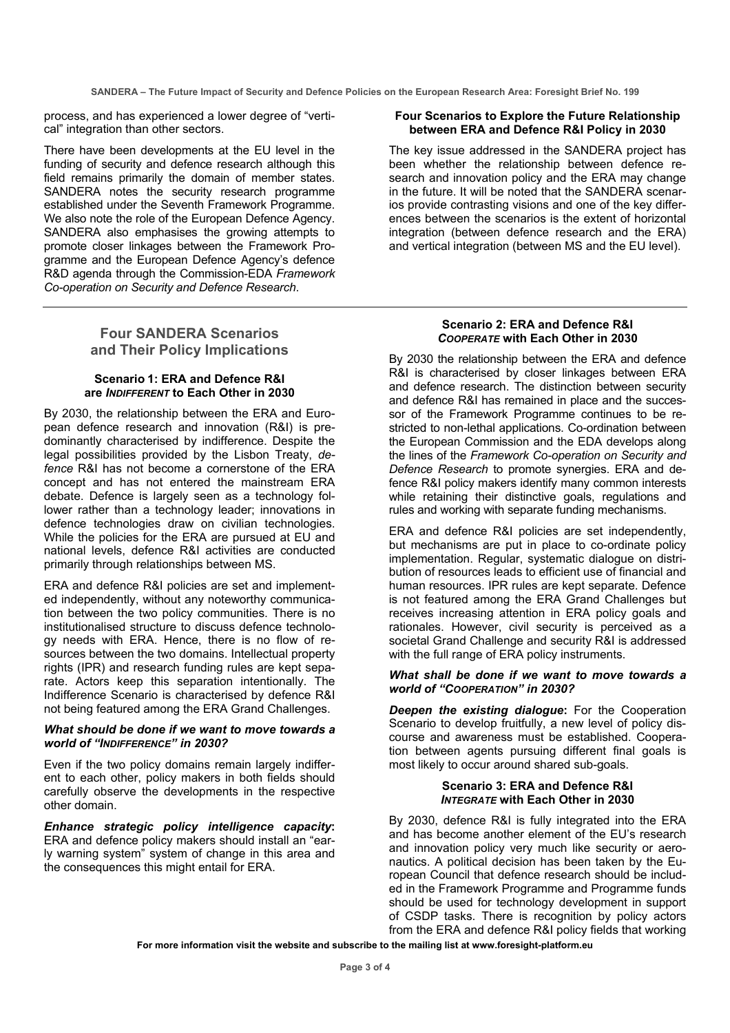**SANDERA – The Future Impact of Security and Defence Policies on the European Research Area: Foresight Brief No. 199** 

process, and has experienced a lower degree of "vertical" integration than other sectors.

There have been developments at the EU level in the funding of security and defence research although this field remains primarily the domain of member states. SANDERA notes the security research programme established under the Seventh Framework Programme. We also note the role of the European Defence Agency. SANDERA also emphasises the growing attempts to promote closer linkages between the Framework Programme and the European Defence Agency's defence R&D agenda through the Commission-EDA *Framework Co-operation on Security and Defence Research*.

## **Four SANDERA Scenarios and Their Policy Implications**

#### **Scenario 1: ERA and Defence R&I are** *INDIFFERENT* **to Each Other in 2030**

By 2030, the relationship between the ERA and European defence research and innovation (R&I) is predominantly characterised by indifference. Despite the legal possibilities provided by the Lisbon Treaty, *defence* R&I has not become a cornerstone of the ERA concept and has not entered the mainstream ERA debate. Defence is largely seen as a technology follower rather than a technology leader; innovations in defence technologies draw on civilian technologies. While the policies for the ERA are pursued at EU and national levels, defence R&I activities are conducted primarily through relationships between MS.

ERA and defence R&I policies are set and implemented independently, without any noteworthy communication between the two policy communities. There is no institutionalised structure to discuss defence technology needs with ERA. Hence, there is no flow of resources between the two domains. Intellectual property rights (IPR) and research funding rules are kept separate. Actors keep this separation intentionally. The Indifference Scenario is characterised by defence R&I not being featured among the ERA Grand Challenges.

#### *What should be done if we want to move towards a world of "INDIFFERENCE" in 2030?*

Even if the two policy domains remain largely indifferent to each other, policy makers in both fields should carefully observe the developments in the respective other domain.

*Enhance strategic policy intelligence capacity***:** ERA and defence policy makers should install an "early warning system" system of change in this area and the consequences this might entail for ERA.

#### **Four Scenarios to Explore the Future Relationship between ERA and Defence R&I Policy in 2030**

The key issue addressed in the SANDERA project has been whether the relationship between defence research and innovation policy and the ERA may change in the future. It will be noted that the SANDERA scenarios provide contrasting visions and one of the key differences between the scenarios is the extent of horizontal integration (between defence research and the ERA) and vertical integration (between MS and the EU level).

#### **Scenario 2: ERA and Defence R&I**  *COOPERATE* **with Each Other in 2030**

By 2030 the relationship between the ERA and defence R&I is characterised by closer linkages between ERA and defence research. The distinction between security and defence R&I has remained in place and the successor of the Framework Programme continues to be restricted to non-lethal applications. Co-ordination between the European Commission and the EDA develops along the lines of the *Framework Co-operation on Security and Defence Research* to promote synergies. ERA and defence R&I policy makers identify many common interests while retaining their distinctive goals, regulations and rules and working with separate funding mechanisms.

ERA and defence R&I policies are set independently, but mechanisms are put in place to co-ordinate policy implementation. Regular, systematic dialogue on distribution of resources leads to efficient use of financial and human resources. IPR rules are kept separate. Defence is not featured among the ERA Grand Challenges but receives increasing attention in ERA policy goals and rationales. However, civil security is perceived as a societal Grand Challenge and security R&I is addressed with the full range of ERA policy instruments.

#### *What shall be done if we want to move towards a world of "COOPERATION" in 2030?*

*Deepen the existing dialogue***:** For the Cooperation Scenario to develop fruitfully, a new level of policy discourse and awareness must be established. Cooperation between agents pursuing different final goals is most likely to occur around shared sub-goals.

#### **Scenario 3: ERA and Defence R&I**  *INTEGRATE* **with Each Other in 2030**

By 2030, defence R&I is fully integrated into the ERA and has become another element of the EU's research and innovation policy very much like security or aeronautics. A political decision has been taken by the European Council that defence research should be included in the Framework Programme and Programme funds should be used for technology development in support of CSDP tasks. There is recognition by policy actors from the ERA and defence R&I policy fields that working

**For more information visit the website and subscribe to the mailing list at www.foresight-platform.eu**